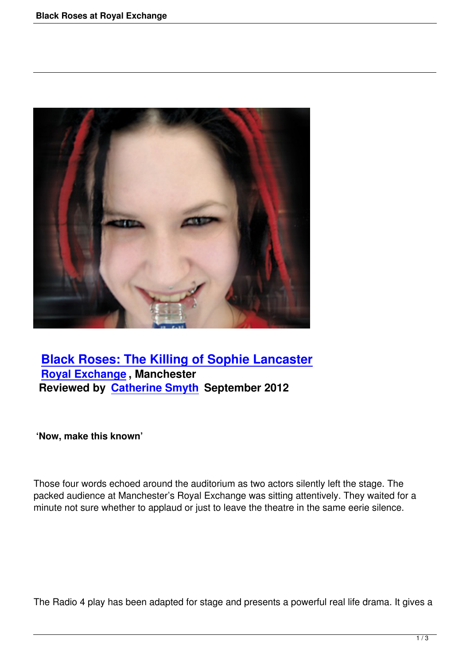

## **Black Roses: The Killing of Sophie Lancaster Royal Exchange , Manchester [Reviewed by Catherine Smyth September 2012](black-roses-royal-exchange.html)**

## **'Now, make this [known'](writers.html#catherine-smyth)**

Those four words echoed around the auditorium as two actors silently left the stage. The packed audience at Manchester's Royal Exchange was sitting attentively. They waited for a minute not sure whether to applaud or just to leave the theatre in the same eerie silence.

The Radio 4 play has been adapted for stage and presents a powerful real life drama. It gives a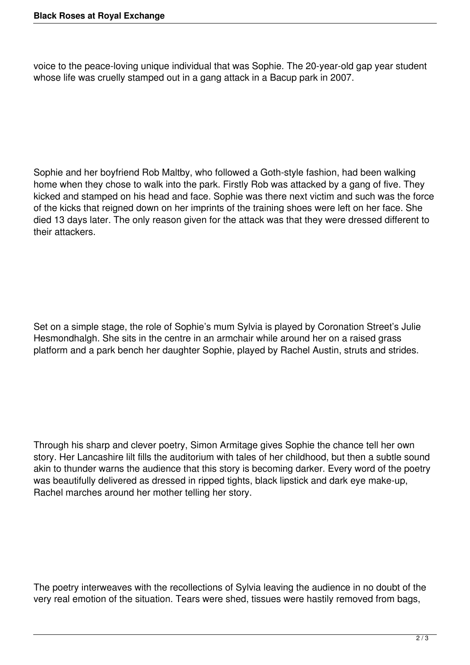voice to the peace-loving unique individual that was Sophie. The 20-year-old gap year student whose life was cruelly stamped out in a gang attack in a Bacup park in 2007.

Sophie and her boyfriend Rob Maltby, who followed a Goth-style fashion, had been walking home when they chose to walk into the park. Firstly Rob was attacked by a gang of five. They kicked and stamped on his head and face. Sophie was there next victim and such was the force of the kicks that reigned down on her imprints of the training shoes were left on her face. She died 13 days later. The only reason given for the attack was that they were dressed different to their attackers.

Set on a simple stage, the role of Sophie's mum Sylvia is played by Coronation Street's Julie Hesmondhalgh. She sits in the centre in an armchair while around her on a raised grass platform and a park bench her daughter Sophie, played by Rachel Austin, struts and strides.

Through his sharp and clever poetry, Simon Armitage gives Sophie the chance tell her own story. Her Lancashire lilt fills the auditorium with tales of her childhood, but then a subtle sound akin to thunder warns the audience that this story is becoming darker. Every word of the poetry was beautifully delivered as dressed in ripped tights, black lipstick and dark eye make-up, Rachel marches around her mother telling her story.

The poetry interweaves with the recollections of Sylvia leaving the audience in no doubt of the very real emotion of the situation. Tears were shed, tissues were hastily removed from bags,